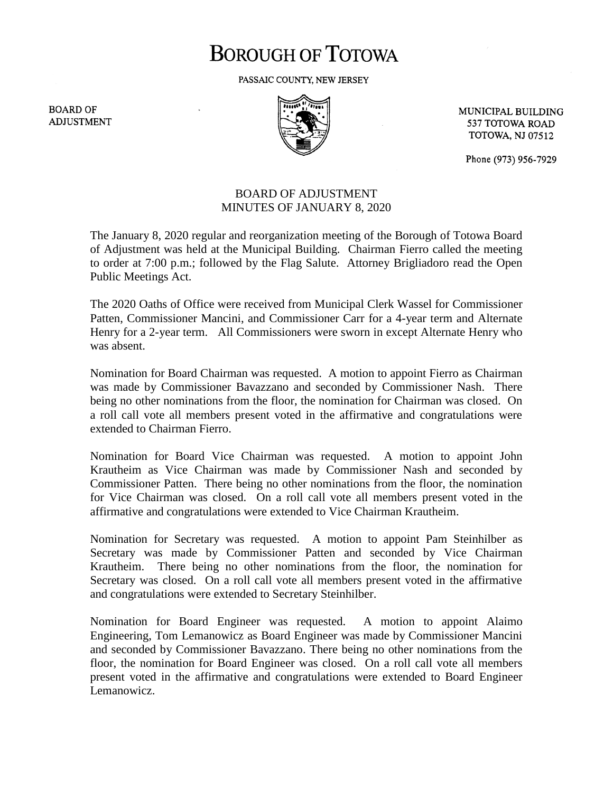# **BOROUGH OF TOTOWA**

PASSAIC COUNTY, NEW JERSEY

**BOARD OF ADJUSTMENT** 



MUNICIPAL BUILDING 537 TOTOWA ROAD **TOTOWA, NJ 07512** 

Phone (973) 956-7929

### BOARD OF ADJUSTMENT MINUTES OF JANUARY 8, 2020

The January 8, 2020 regular and reorganization meeting of the Borough of Totowa Board of Adjustment was held at the Municipal Building. Chairman Fierro called the meeting to order at 7:00 p.m.; followed by the Flag Salute. Attorney Brigliadoro read the Open Public Meetings Act.

The 2020 Oaths of Office were received from Municipal Clerk Wassel for Commissioner Patten, Commissioner Mancini, and Commissioner Carr for a 4-year term and Alternate Henry for a 2-year term. All Commissioners were sworn in except Alternate Henry who was absent.

Nomination for Board Chairman was requested. A motion to appoint Fierro as Chairman was made by Commissioner Bavazzano and seconded by Commissioner Nash. There being no other nominations from the floor, the nomination for Chairman was closed. On a roll call vote all members present voted in the affirmative and congratulations were extended to Chairman Fierro.

Nomination for Board Vice Chairman was requested. A motion to appoint John Krautheim as Vice Chairman was made by Commissioner Nash and seconded by Commissioner Patten. There being no other nominations from the floor, the nomination for Vice Chairman was closed. On a roll call vote all members present voted in the affirmative and congratulations were extended to Vice Chairman Krautheim.

Nomination for Secretary was requested. A motion to appoint Pam Steinhilber as Secretary was made by Commissioner Patten and seconded by Vice Chairman Krautheim. There being no other nominations from the floor, the nomination for Secretary was closed. On a roll call vote all members present voted in the affirmative and congratulations were extended to Secretary Steinhilber.

Nomination for Board Engineer was requested. A motion to appoint Alaimo Engineering, Tom Lemanowicz as Board Engineer was made by Commissioner Mancini and seconded by Commissioner Bavazzano. There being no other nominations from the floor, the nomination for Board Engineer was closed. On a roll call vote all members present voted in the affirmative and congratulations were extended to Board Engineer Lemanowicz.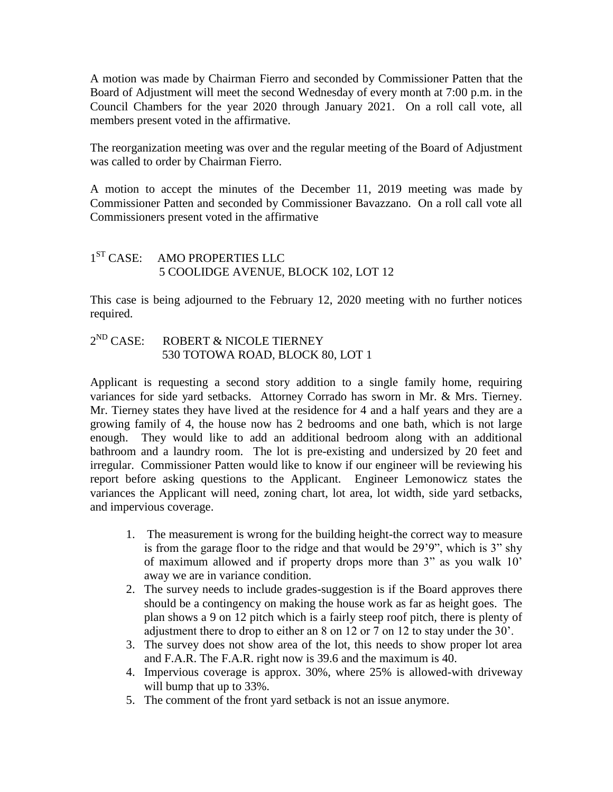A motion was made by Chairman Fierro and seconded by Commissioner Patten that the Board of Adjustment will meet the second Wednesday of every month at 7:00 p.m. in the Council Chambers for the year 2020 through January 2021. On a roll call vote, all members present voted in the affirmative.

The reorganization meeting was over and the regular meeting of the Board of Adjustment was called to order by Chairman Fierro.

A motion to accept the minutes of the December 11, 2019 meeting was made by Commissioner Patten and seconded by Commissioner Bavazzano. On a roll call vote all Commissioners present voted in the affirmative

#### $1<sup>ST</sup> CASE:$ AMO PROPERTIES LLC 5 COOLIDGE AVENUE, BLOCK 102, LOT 12

This case is being adjourned to the February 12, 2020 meeting with no further notices required.

#### $2^{ND}$  CASE: ROBERT & NICOLE TIERNEY 530 TOTOWA ROAD, BLOCK 80, LOT 1

Applicant is requesting a second story addition to a single family home, requiring variances for side yard setbacks. Attorney Corrado has sworn in Mr. & Mrs. Tierney. Mr. Tierney states they have lived at the residence for 4 and a half years and they are a growing family of 4, the house now has 2 bedrooms and one bath, which is not large enough. They would like to add an additional bedroom along with an additional bathroom and a laundry room. The lot is pre-existing and undersized by 20 feet and irregular. Commissioner Patten would like to know if our engineer will be reviewing his report before asking questions to the Applicant. Engineer Lemonowicz states the variances the Applicant will need, zoning chart, lot area, lot width, side yard setbacks, and impervious coverage.

- 1. The measurement is wrong for the building height-the correct way to measure is from the garage floor to the ridge and that would be 29'9", which is 3" shy of maximum allowed and if property drops more than 3" as you walk 10' away we are in variance condition.
- 2. The survey needs to include grades-suggestion is if the Board approves there should be a contingency on making the house work as far as height goes. The plan shows a 9 on 12 pitch which is a fairly steep roof pitch, there is plenty of adjustment there to drop to either an 8 on 12 or 7 on 12 to stay under the 30'.
- 3. The survey does not show area of the lot, this needs to show proper lot area and F.A.R. The F.A.R. right now is 39.6 and the maximum is 40.
- 4. Impervious coverage is approx. 30%, where 25% is allowed-with driveway will bump that up to 33%.
- 5. The comment of the front yard setback is not an issue anymore.